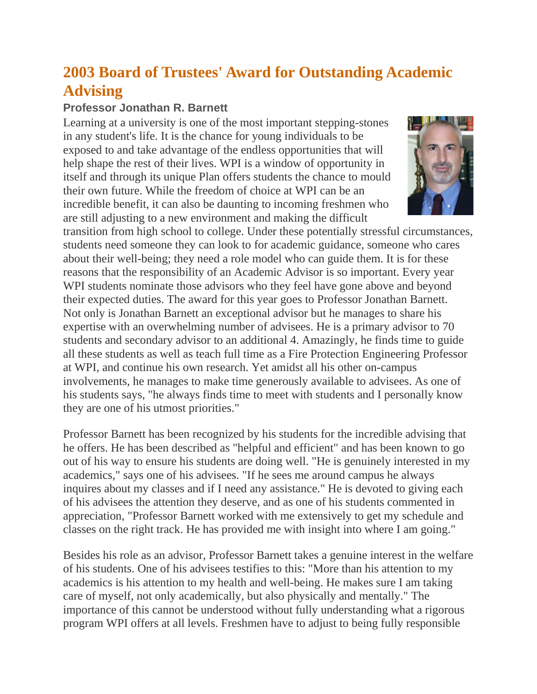## **2003 Board of Trustees' Award for Outstanding Academic Advising**

## **Professor Jonathan R. Barnett**

Learning at a university is one of the most important stepping-stones in any student's life. It is the chance for young individuals to be exposed to and take advantage of the endless opportunities that will help shape the rest of their lives. WPI is a window of opportunity in itself and through its unique Plan offers students the chance to mould their own future. While the freedom of choice at WPI can be an incredible benefit, it can also be daunting to incoming freshmen who are still adjusting to a new environment and making the difficult



transition from high school to college. Under these potentially stressful circumstances, students need someone they can look to for academic guidance, someone who cares about their well-being; they need a role model who can guide them. It is for these reasons that the responsibility of an Academic Advisor is so important. Every year WPI students nominate those advisors who they feel have gone above and beyond their expected duties. The award for this year goes to Professor Jonathan Barnett. Not only is Jonathan Barnett an exceptional advisor but he manages to share his expertise with an overwhelming number of advisees. He is a primary advisor to 70 students and secondary advisor to an additional 4. Amazingly, he finds time to guide all these students as well as teach full time as a Fire Protection Engineering Professor at WPI, and continue his own research. Yet amidst all his other on-campus involvements, he manages to make time generously available to advisees. As one of his students says, "he always finds time to meet with students and I personally know they are one of his utmost priorities."

Professor Barnett has been recognized by his students for the incredible advising that he offers. He has been described as "helpful and efficient" and has been known to go out of his way to ensure his students are doing well. "He is genuinely interested in my academics," says one of his advisees. "If he sees me around campus he always inquires about my classes and if I need any assistance." He is devoted to giving each of his advisees the attention they deserve, and as one of his students commented in appreciation, "Professor Barnett worked with me extensively to get my schedule and classes on the right track. He has provided me with insight into where I am going."

Besides his role as an advisor, Professor Barnett takes a genuine interest in the welfare of his students. One of his advisees testifies to this: "More than his attention to my academics is his attention to my health and well-being. He makes sure I am taking care of myself, not only academically, but also physically and mentally." The importance of this cannot be understood without fully understanding what a rigorous program WPI offers at all levels. Freshmen have to adjust to being fully responsible